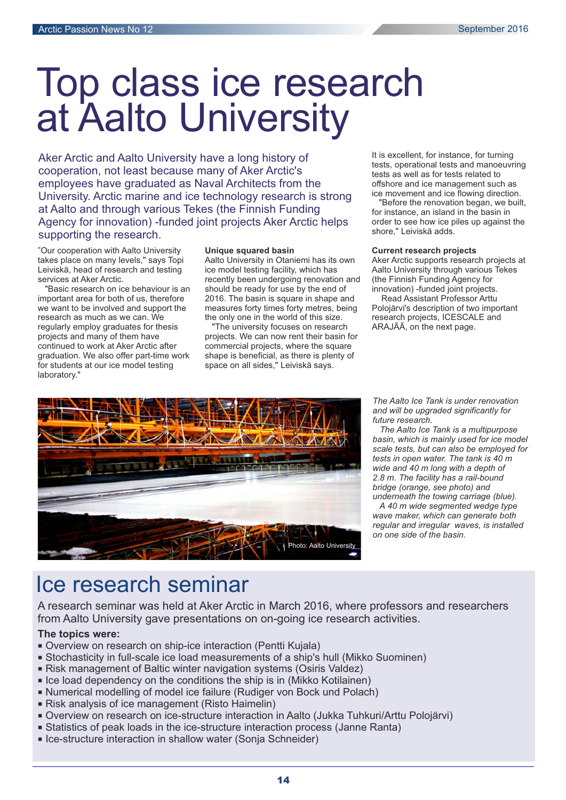# Top class ice research at Aalto University

Aker Arctic and Aalto University have a long history of cooperation, not least because many of Aker Arctic's employees have graduated as Naval Architects from the University. Arctic marine and ice technology research is strong at Aalto and through various Tekes (the Finnish Funding Agency for innovation) -funded joint projects Aker Arctic helps supporting the research.

"Our cooperation with Aalto University takes place on many levels," says Topi Leiviskä, head of research and testing services at Aker Arctic.

"Basic research on ice behaviour is an important area for both of us, therefore we want to be involved and support the research as much as we can. We regularly employ graduates for thesis projects and many of them have continued to work at Aker Arctic after graduation. We also offer part-time work for students at our ice model testing laboratory."

### **Unique squared basin**

Aalto University in Otaniemi has its own ice model testing facility, which has recently been undergoing renovation and should be ready for use by the end of 2016. The basin is square in shape and measures forty times forty metres, being the only one in the world of this size.

"The university focuses on research projects. We can now rent their basin for commercial projects, where the square shape is beneficial, as there is plenty of space on all sides," Leiviskä says.

It is excellent, for instance, for turning tests, operational tests and manoeuvring tests as well as for tests related to offshore and ice management such as ice movement and ice flowing direction.

"Before the renovation began, we built, for instance, an island in the basin in order to see how ice piles up against the shore," Leiviskä adds.

### **Current research projects**

Aker Arctic supports research projects at Aalto University through various Tekes (the Finnish Funding Agency for innovation) -funded joint projects.

Read Assistant Professor Arttu Polojärvi's description of two important research projects, ICESCALE and ARAJÄÄ, on the next page.



*The Aalto Ice Tank is under renovation and will be upgraded significantly for future research.*

*The Aalto Ice Tank is a multipurpose basin, which is mainly used for ice model scale tests, but can also be employed for tests in open water. The tank is 40 m wide and 40 m long with a depth of 2.8 m. The facility has a rail-bound bridge (orange, see photo) and underneath the towing carriage (blue).*

*A 40 m wide segmented wedge type wave maker, which can generate both regular and irregular waves, is installed on one side of the basin.*

# Ice research seminar

A research seminar was held at Aker Arctic in March 2016, where professors and researchers from Aalto University gave presentations on on-going ice research activities.

# **The topics were:**

- Overview on research on ship-ice interaction (Pentti Kujala)
- Stochasticity in full-scale ice load measurements of a ship's hull (Mikko Suominen)
- Risk management of Baltic winter navigation systems (Osiris Valdez)
- Ice load dependency on the conditions the ship is in (Mikko Kotilainen)
- Numerical modelling of model ice failure (Rudiger von Bock und Polach)
- Risk analysis of ice management (Risto Haimelin)
- Overview on research on ice-structure interaction in Aalto (Jukka Tuhkuri/Arttu Polojärvi)
- Statistics of peak loads in the ice-structure interaction process (Janne Ranta)
- Ice-structure interaction in shallow water (Sonja Schneider)